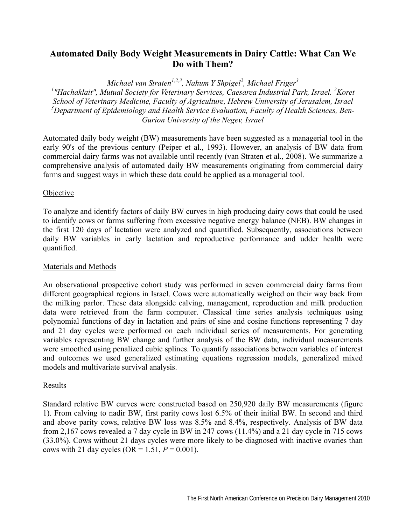# **Automated Daily Body Weight Measurements in Dairy Cattle: What Can We Do with Them?**

*Michael van Straten1,2,3, Nahum Y Shpigel2 , Michael Friger<sup>3</sup>*

<sup>1</sup> "Hachaklait", Mutual Society for Veterinary Services, Caesarea Industrial Park, Israel. <sup>2</sup>Koret *School of Veterinary Medicine, Faculty of Agriculture, Hebrew University of Jerusalem, Israel 3 Department of Epidemiology and Health Service Evaluation, Faculty of Health Sciences, Ben-Gurion University of the Negev, Israel* 

Automated daily body weight (BW) measurements have been suggested as a managerial tool in the early 90's of the previous century (Peiper et al., 1993). However, an analysis of BW data from commercial dairy farms was not available until recently (van Straten et al., 2008). We summarize a comprehensive analysis of automated daily BW measurements originating from commercial dairy farms and suggest ways in which these data could be applied as a managerial tool.

## **Objective**

To analyze and identify factors of daily BW curves in high producing dairy cows that could be used to identify cows or farms suffering from excessive negative energy balance (NEB). BW changes in the first 120 days of lactation were analyzed and quantified. Subsequently, associations between daily BW variables in early lactation and reproductive performance and udder health were quantified.

### Materials and Methods

An observational prospective cohort study was performed in seven commercial dairy farms from different geographical regions in Israel. Cows were automatically weighed on their way back from the milking parlor. These data alongside calving, management, reproduction and milk production data were retrieved from the farm computer. Classical time series analysis techniques using polynomial functions of day in lactation and pairs of sine and cosine functions representing 7 day and 21 day cycles were performed on each individual series of measurements. For generating variables representing BW change and further analysis of the BW data, individual measurements were smoothed using penalized cubic splines. To quantify associations between variables of interest and outcomes we used generalized estimating equations regression models, generalized mixed models and multivariate survival analysis.

### Results

Standard relative BW curves were constructed based on 250,920 daily BW measurements (figure 1). From calving to nadir BW, first parity cows lost 6.5% of their initial BW. In second and third and above parity cows, relative BW loss was 8.5% and 8.4%, respectively. Analysis of BW data from 2,167 cows revealed a 7 day cycle in BW in 247 cows (11.4%) and a 21 day cycle in 715 cows (33.0%). Cows without 21 days cycles were more likely to be diagnosed with inactive ovaries than cows with 21 day cycles (OR =  $1.51, P = 0.001$ ).